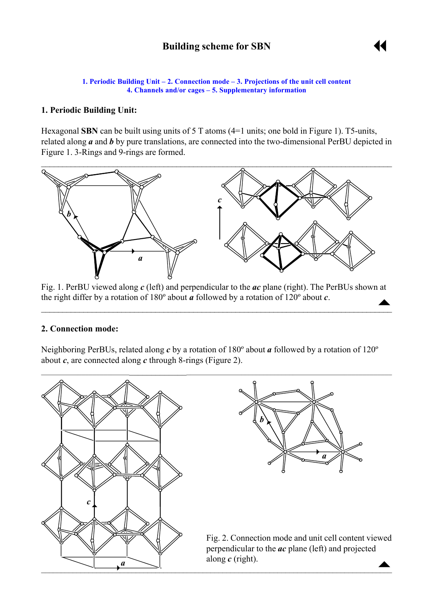

#### <span id="page-0-0"></span>**1. Periodic Building Unit – 2. Connection mode – [3. Projections of the unit cell content](#page-1-0) [4. Channels and/or cages](#page-1-0) – [5. Supplementary information](#page-1-0)**

## **1. Periodic Building Unit:**

Hexagonal **SBN** can be built using units of 5 T atoms (4=1 units; one bold in Figure 1). T5-units, related along *a* and *b* by pure translations, are connected into the two-dimensional PerBU depicted in Figure 1. 3-Rings and 9-rings are formed.



 $\uparrow$ Fig. 1. PerBU viewed along *c* (left) and perpendicular to the *ac* plane (right). The PerBUs shown at the right differ by a rotation of 180º about *a* followed by a rotation of 120º about *c*.

 $\mathcal{L}_\mathcal{L} = \mathcal{L}_\mathcal{L} = \mathcal{L}_\mathcal{L} = \mathcal{L}_\mathcal{L} = \mathcal{L}_\mathcal{L} = \mathcal{L}_\mathcal{L} = \mathcal{L}_\mathcal{L} = \mathcal{L}_\mathcal{L} = \mathcal{L}_\mathcal{L} = \mathcal{L}_\mathcal{L} = \mathcal{L}_\mathcal{L} = \mathcal{L}_\mathcal{L} = \mathcal{L}_\mathcal{L} = \mathcal{L}_\mathcal{L} = \mathcal{L}_\mathcal{L} = \mathcal{L}_\mathcal{L} = \mathcal{L}_\mathcal{L}$ 

### **2. Connection mode:**

Neighboring PerBUs, related along *c* by a rotation of 180º about *a* followed by a rotation of 120º about *c*, are connected along *c* through 8-rings (Figure 2).